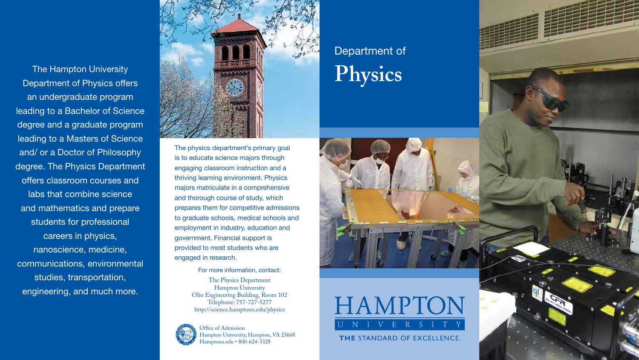The physics department's primary goal is to educate science majors through engaging classroom instruction and a thriving learning environment. Physics majors matriculate in a comprehensive and thorough course of study, which prepares them for competitive admissions to graduate schools, medical schools and employment in industry, education and government. Financial support is provided to most students who are engaged in research.

## For more information, contact:

The Physics Department Hampton University Olin Engineering Building, Room 102 Telephone: 757-727-5277 http://science.hamptonu.edu/physics



## Department of **Physics**





**THE STANDARD OF EXCELLENCE.** 



The Hampton University Department of Physics offers an undergraduate program leading to a Bachelor of Science degree and a graduate program leading to a Masters of Science and/ or a Doctor of Philosophy degree. The Physics Department offers classroom courses and labs that combine science and mathematics and prepare students for professional careers in physics, nanoscience, medicine, communications, environmental studies, transportation, engineering, and much more.



Office of Admission Hampton University, Hampton, VA 23668 Hamptonu.edu • 800-624-3328